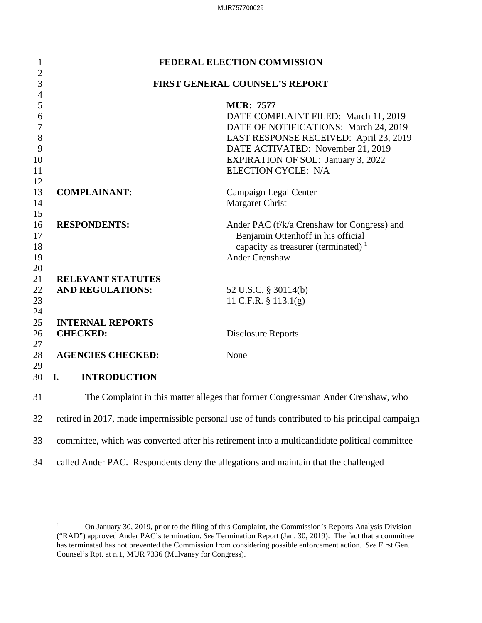| $\mathbf{1}$        | FEDERAL ELECTION COMMISSION                                                                   |                                                                                                 |  |
|---------------------|-----------------------------------------------------------------------------------------------|-------------------------------------------------------------------------------------------------|--|
| $\overline{2}$<br>3 | <b>FIRST GENERAL COUNSEL'S REPORT</b>                                                         |                                                                                                 |  |
| 4                   |                                                                                               |                                                                                                 |  |
| 5                   |                                                                                               | <b>MUR: 7577</b>                                                                                |  |
| 6                   |                                                                                               | DATE COMPLAINT FILED: March 11, 2019                                                            |  |
| 7                   |                                                                                               | DATE OF NOTIFICATIONS: March 24, 2019                                                           |  |
| 8                   |                                                                                               | LAST RESPONSE RECEIVED: April 23, 2019                                                          |  |
| 9                   |                                                                                               | DATE ACTIVATED: November 21, 2019                                                               |  |
| 10                  |                                                                                               | <b>EXPIRATION OF SOL: January 3, 2022</b>                                                       |  |
| 11                  |                                                                                               | ELECTION CYCLE: N/A                                                                             |  |
| 12                  |                                                                                               |                                                                                                 |  |
| 13                  | <b>COMPLAINANT:</b>                                                                           | Campaign Legal Center                                                                           |  |
| 14<br>15            |                                                                                               | Margaret Christ                                                                                 |  |
| 16                  | <b>RESPONDENTS:</b>                                                                           | Ander PAC (f/k/a Crenshaw for Congress) and                                                     |  |
| 17                  |                                                                                               | Benjamin Ottenhoff in his official                                                              |  |
| 18                  |                                                                                               | capacity as treasurer (terminated) $1$                                                          |  |
| 19                  |                                                                                               | <b>Ander Crenshaw</b>                                                                           |  |
| 20                  |                                                                                               |                                                                                                 |  |
| 21                  | <b>RELEVANT STATUTES</b>                                                                      |                                                                                                 |  |
| 22                  | <b>AND REGULATIONS:</b>                                                                       | 52 U.S.C. § 30114(b)                                                                            |  |
| 23                  |                                                                                               | 11 C.F.R. $\S$ 113.1(g)                                                                         |  |
| 24                  |                                                                                               |                                                                                                 |  |
| 25                  | <b>INTERNAL REPORTS</b>                                                                       |                                                                                                 |  |
| 26                  | <b>CHECKED:</b>                                                                               | <b>Disclosure Reports</b>                                                                       |  |
| 27                  |                                                                                               |                                                                                                 |  |
| 28                  | <b>AGENCIES CHECKED:</b>                                                                      | None                                                                                            |  |
| 29<br>30            | <b>INTRODUCTION</b><br>I.                                                                     |                                                                                                 |  |
|                     |                                                                                               |                                                                                                 |  |
| 31                  |                                                                                               | The Complaint in this matter alleges that former Congressman Ander Crenshaw, who                |  |
| 32                  |                                                                                               | retired in 2017, made impermissible personal use of funds contributed to his principal campaign |  |
| 33                  | committee, which was converted after his retirement into a multicandidate political committee |                                                                                                 |  |
| 34                  |                                                                                               | called Ander PAC. Respondents deny the allegations and maintain that the challenged             |  |

<span id="page-0-0"></span><sup>&</sup>lt;sup>1</sup> On January 30, 2019, prior to the filing of this Complaint, the Commission's Reports Analysis Division ("RAD") approved Ander PAC's termination. *See* Termination Report (Jan. 30, 2019). The fact that a committee has terminated has not prevented the Commission from considering possible enforcement action. *See* First Gen. Counsel's Rpt. at n.1, MUR 7336 (Mulvaney for Congress).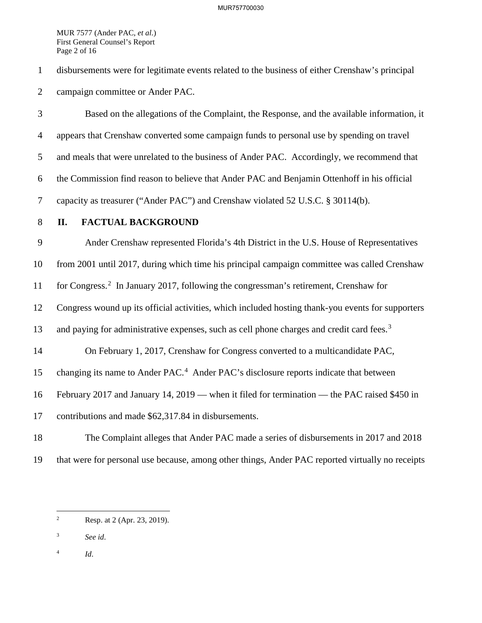MUR 7577 (Ander PAC, *et al.*) First General Counsel's Report Page 2 of 16

1 disbursements were for legitimate events related to the business of either Crenshaw's principal 2 campaign committee or Ander PAC.

3 Based on the allegations of the Complaint, the Response, and the available information, it 4 appears that Crenshaw converted some campaign funds to personal use by spending on travel 5 and meals that were unrelated to the business of Ander PAC. Accordingly, we recommend that 6 the Commission find reason to believe that Ander PAC and Benjamin Ottenhoff in his official 7 capacity as treasurer ("Ander PAC") and Crenshaw violated 52 U.S.C. § 30114(b).

8 **II. FACTUAL BACKGROUND**

9 Ander Crenshaw represented Florida's 4th District in the U.S. House of Representatives

10 from 2001 until 2017, during which time his principal campaign committee was called Crenshaw

for Congress.[2](#page-1-0) 11 In January 2017, following the congressman's retirement, Crenshaw for

12 Congress wound up its official activities, which included hosting thank-you events for supporters

1[3](#page-1-1) and paying for administrative expenses, such as cell phone charges and credit card fees.<sup>3</sup>

14 On February 1, 2017, Crenshaw for Congress converted to a multicandidate PAC,

15 changing its name to Ander PAC.<sup>4</sup> Ander PAC's disclosure reports indicate that between

16 February 2017 and January 14, 2019 — when it filed for termination — the PAC raised \$450 in

17 contributions and made \$62,317.84 in disbursements.

- 18 The Complaint alleges that Ander PAC made a series of disbursements in 2017 and 2018
- 

19 that were for personal use because, among other things, Ander PAC reported virtually no receipts

<span id="page-1-2"></span>4 *Id*.

<span id="page-1-0"></span> $\frac{1}{2}$ Resp. at 2 (Apr. 23, 2019).

<span id="page-1-1"></span><sup>3</sup> *See id*.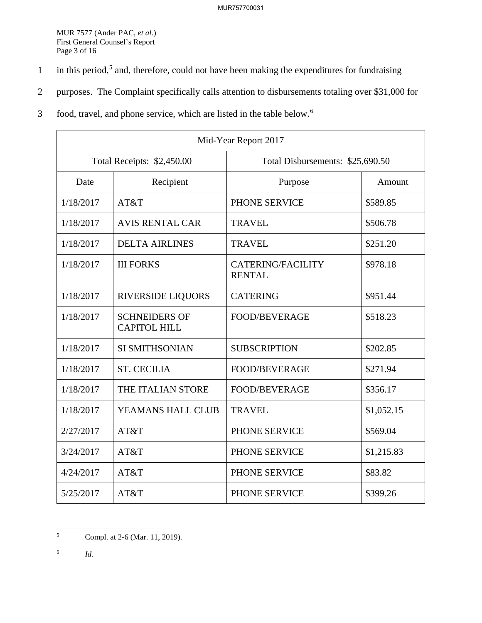MUR 7577 (Ander PAC, *et al.*) First General Counsel's Report Page 3 of 16

- in this period,<sup>[5](#page-2-0)</sup> and, therefore, could not have been making the expenditures for fundraising
- 2 purposes. The Complaint specifically calls attention to disbursements totaling over \$31,000 for
- food, travel, and phone service, which are listed in the table below.[6](#page-2-1) 3

| Mid-Year Report 2017       |                                             |                                           |            |
|----------------------------|---------------------------------------------|-------------------------------------------|------------|
| Total Receipts: \$2,450.00 |                                             | Total Disbursements: \$25,690.50          |            |
| Date                       | Recipient                                   | Purpose                                   | Amount     |
| 1/18/2017                  | AT&T                                        | PHONE SERVICE                             | \$589.85   |
| 1/18/2017                  | <b>AVIS RENTAL CAR</b>                      | <b>TRAVEL</b>                             | \$506.78   |
| 1/18/2017                  | <b>DELTA AIRLINES</b>                       | <b>TRAVEL</b>                             | \$251.20   |
| 1/18/2017                  | <b>III FORKS</b>                            | <b>CATERING/FACILITY</b><br><b>RENTAL</b> | \$978.18   |
| 1/18/2017                  | <b>RIVERSIDE LIQUORS</b>                    | <b>CATERING</b>                           | \$951.44   |
| 1/18/2017                  | <b>SCHNEIDERS OF</b><br><b>CAPITOL HILL</b> | <b>FOOD/BEVERAGE</b>                      | \$518.23   |
| 1/18/2017                  | <b>SI SMITHSONIAN</b>                       | <b>SUBSCRIPTION</b>                       | \$202.85   |
| 1/18/2017                  | <b>ST. CECILIA</b>                          | <b>FOOD/BEVERAGE</b>                      | \$271.94   |
| 1/18/2017                  | THE ITALIAN STORE                           | <b>FOOD/BEVERAGE</b>                      | \$356.17   |
| 1/18/2017                  | YEAMANS HALL CLUB                           | <b>TRAVEL</b>                             | \$1,052.15 |
| 2/27/2017                  | AT&T                                        | PHONE SERVICE                             | \$569.04   |
| 3/24/2017                  | AT&T                                        | PHONE SERVICE                             | \$1,215.83 |
| 4/24/2017                  | AT&T                                        | PHONE SERVICE                             | \$83.82    |
| 5/25/2017                  | AT&T                                        | PHONE SERVICE                             | \$399.26   |

 $\frac{1}{5}$ Compl. at 2-6 (Mar. 11, 2019).

<span id="page-2-1"></span><span id="page-2-0"></span>6 *Id*.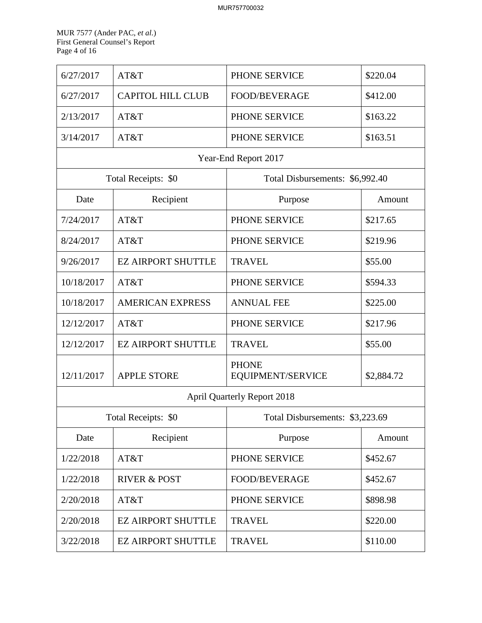MUR 7577 (Ander PAC, *et al.*) First General Counsel's Report Page 4 of 16

| 6/27/2017  | AT&T                      | PHONE SERVICE                            | \$220.04   |
|------------|---------------------------|------------------------------------------|------------|
| 6/27/2017  | <b>CAPITOL HILL CLUB</b>  | <b>FOOD/BEVERAGE</b>                     | \$412.00   |
| 2/13/2017  | AT&T                      | PHONE SERVICE                            | \$163.22   |
| 3/14/2017  | AT&T                      | PHONE SERVICE                            | \$163.51   |
|            |                           | Year-End Report 2017                     |            |
|            | Total Receipts: \$0       | Total Disbursements: \$6,992.40          |            |
| Date       | Recipient                 | Purpose                                  | Amount     |
| 7/24/2017  | AT&T                      | PHONE SERVICE                            | \$217.65   |
| 8/24/2017  | AT&T                      | PHONE SERVICE                            | \$219.96   |
| 9/26/2017  | <b>EZ AIRPORT SHUTTLE</b> | <b>TRAVEL</b>                            | \$55.00    |
| 10/18/2017 | AT&T                      | PHONE SERVICE                            | \$594.33   |
| 10/18/2017 | <b>AMERICAN EXPRESS</b>   | <b>ANNUAL FEE</b>                        | \$225.00   |
| 12/12/2017 | AT&T                      | PHONE SERVICE                            | \$217.96   |
| 12/12/2017 | <b>EZ AIRPORT SHUTTLE</b> | <b>TRAVEL</b>                            | \$55.00    |
| 12/11/2017 | <b>APPLE STORE</b>        | <b>PHONE</b><br><b>EQUIPMENT/SERVICE</b> | \$2,884.72 |
|            |                           | <b>April Quarterly Report 2018</b>       |            |
|            | Total Receipts: \$0       | Total Disbursements: \$3,223.69          |            |
| Date       | Recipient                 | Purpose                                  | Amount     |
| 1/22/2018  | AT&T                      | PHONE SERVICE                            | \$452.67   |
| 1/22/2018  | <b>RIVER &amp; POST</b>   | <b>FOOD/BEVERAGE</b>                     | \$452.67   |
| 2/20/2018  | AT&T                      | PHONE SERVICE                            | \$898.98   |
| 2/20/2018  | <b>EZ AIRPORT SHUTTLE</b> | <b>TRAVEL</b>                            | \$220.00   |
| 3/22/2018  | <b>EZ AIRPORT SHUTTLE</b> | <b>TRAVEL</b>                            | \$110.00   |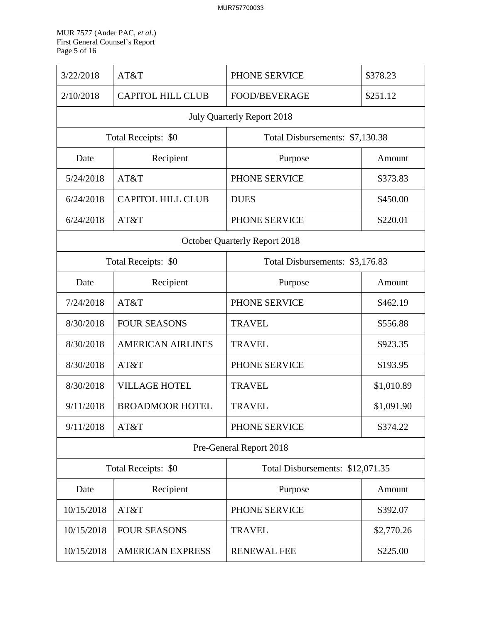MUR 7577 (Ander PAC, *et al.*) First General Counsel's Report Page 5 of 16

| 3/22/2018           | AT&T                     | PHONE SERVICE                        | \$378.23   |
|---------------------|--------------------------|--------------------------------------|------------|
| 2/10/2018           | <b>CAPITOL HILL CLUB</b> | <b>FOOD/BEVERAGE</b>                 | \$251.12   |
|                     |                          | <b>July Quarterly Report 2018</b>    |            |
|                     | Total Receipts: \$0      | Total Disbursements: \$7,130.38      |            |
| Date                | Recipient                | Purpose                              | Amount     |
| 5/24/2018           | AT&T                     | PHONE SERVICE                        | \$373.83   |
| 6/24/2018           | <b>CAPITOL HILL CLUB</b> | <b>DUES</b>                          | \$450.00   |
| 6/24/2018           | AT&T                     | PHONE SERVICE                        | \$220.01   |
|                     |                          | <b>October Quarterly Report 2018</b> |            |
|                     | Total Receipts: \$0      | Total Disbursements: \$3,176.83      |            |
| Date                | Recipient                | Purpose                              | Amount     |
| 7/24/2018           | AT&T                     | PHONE SERVICE                        | \$462.19   |
| 8/30/2018           | <b>FOUR SEASONS</b>      | <b>TRAVEL</b>                        | \$556.88   |
| 8/30/2018           | <b>AMERICAN AIRLINES</b> | <b>TRAVEL</b>                        | \$923.35   |
| 8/30/2018           | AT&T                     | PHONE SERVICE                        | \$193.95   |
| 8/30/2018           | <b>VILLAGE HOTEL</b>     | <b>TRAVEL</b>                        | \$1,010.89 |
| 9/11/2018           | <b>BROADMOOR HOTEL</b>   | <b>TRAVEL</b>                        | \$1,091.90 |
| 9/11/2018           | AT&T                     | PHONE SERVICE                        | \$374.22   |
|                     |                          | Pre-General Report 2018              |            |
| Total Receipts: \$0 |                          | Total Disbursements: \$12,071.35     |            |
| Date                | Recipient                | Purpose                              | Amount     |
| 10/15/2018          | AT&T                     | PHONE SERVICE                        | \$392.07   |
| 10/15/2018          | <b>FOUR SEASONS</b>      | <b>TRAVEL</b>                        | \$2,770.26 |
| 10/15/2018          | <b>AMERICAN EXPRESS</b>  | <b>RENEWAL FEE</b>                   | \$225.00   |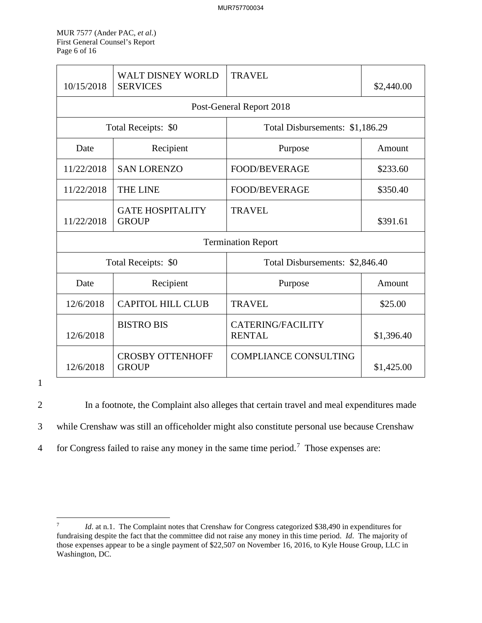MUR 7577 (Ander PAC, *et al.*) First General Counsel's Report Page 6 of 16

| 10/15/2018          | <b>WALT DISNEY WORLD</b><br><b>SERVICES</b> | <b>TRAVEL</b>                             | \$2,440.00 |
|---------------------|---------------------------------------------|-------------------------------------------|------------|
|                     |                                             | Post-General Report 2018                  |            |
|                     | Total Receipts: \$0                         | Total Disbursements: \$1,186.29           |            |
| Date                | Recipient                                   | Purpose                                   | Amount     |
| 11/22/2018          | <b>SAN LORENZO</b>                          | <b>FOOD/BEVERAGE</b>                      | \$233.60   |
| 11/22/2018          | <b>THE LINE</b>                             | <b>FOOD/BEVERAGE</b>                      | \$350.40   |
| 11/22/2018          | <b>GATE HOSPITALITY</b><br><b>GROUP</b>     | <b>TRAVEL</b>                             | \$391.61   |
|                     |                                             | <b>Termination Report</b>                 |            |
| Total Receipts: \$0 |                                             | Total Disbursements: \$2,846.40           |            |
| Date                | Recipient                                   | Purpose                                   | Amount     |
| 12/6/2018           | <b>CAPITOL HILL CLUB</b>                    | <b>TRAVEL</b>                             | \$25.00    |
| 12/6/2018           | <b>BISTRO BIS</b>                           | <b>CATERING/FACILITY</b><br><b>RENTAL</b> | \$1,396.40 |
| 12/6/2018           | <b>CROSBY OTTENHOFF</b><br><b>GROUP</b>     | <b>COMPLIANCE CONSULTING</b>              | \$1,425.00 |

1

2 In a footnote, the Complaint also alleges that certain travel and meal expenditures made

3 while Crenshaw was still an officeholder might also constitute personal use because Crenshaw

4 for Congress failed to raise any money in the same time period.<sup>[7](#page-5-0)</sup> Those expenses are:

<span id="page-5-0"></span><sup>-&</sup>lt;br>7 *Id.* at n.1. The Complaint notes that Crenshaw for Congress categorized \$38,490 in expenditures for fundraising despite the fact that the committee did not raise any money in this time period. *Id*. The majority of those expenses appear to be a single payment of \$22,507 on November 16, 2016, to Kyle House Group, LLC in Washington, DC.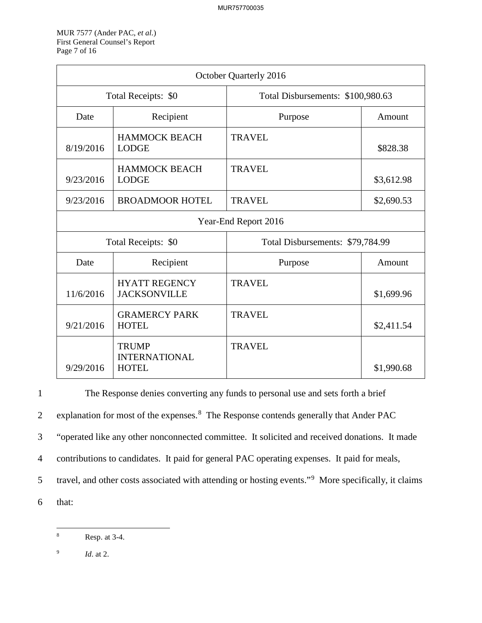MUR 7577 (Ander PAC, *et al.*) First General Counsel's Report Page 7 of 16

| October Quarterly 2016 |                                                      |                                   |            |  |
|------------------------|------------------------------------------------------|-----------------------------------|------------|--|
| Total Receipts: \$0    |                                                      | Total Disbursements: \$100,980.63 |            |  |
| Date                   | Recipient                                            | Purpose                           | Amount     |  |
| 8/19/2016              | <b>HAMMOCK BEACH</b><br><b>LODGE</b>                 | <b>TRAVEL</b>                     | \$828.38   |  |
| 9/23/2016              | <b>HAMMOCK BEACH</b><br><b>LODGE</b>                 | <b>TRAVEL</b>                     | \$3,612.98 |  |
| 9/23/2016              | <b>BROADMOOR HOTEL</b>                               | <b>TRAVEL</b>                     | \$2,690.53 |  |
|                        | Year-End Report 2016                                 |                                   |            |  |
|                        | Total Receipts: \$0                                  | Total Disbursements: \$79,784.99  |            |  |
| Date                   | Recipient                                            | Purpose                           | Amount     |  |
| 11/6/2016              | <b>HYATT REGENCY</b><br><b>JACKSONVILLE</b>          | <b>TRAVEL</b>                     | \$1,699.96 |  |
| 9/21/2016              | <b>GRAMERCY PARK</b><br><b>HOTEL</b>                 | <b>TRAVEL</b>                     | \$2,411.54 |  |
| 9/29/2016              | <b>TRUMP</b><br><b>INTERNATIONAL</b><br><b>HOTEL</b> | <b>TRAVEL</b>                     | \$1,990.68 |  |

1 The Response denies converting any funds to personal use and sets forth a brief 2 explanation for most of the expenses.<sup>[8](#page-6-0)</sup> The Response contends generally that Ander PAC 3 "operated like any other nonconnected committee. It solicited and received donations. It made 4 contributions to candidates. It paid for general PAC operating expenses. It paid for meals, 5 travel, and other costs associated with attending or hosting events."<sup>[9](#page-6-1)</sup> More specifically, it claims 6 that:

<span id="page-6-1"></span>9 *Id*. at 2.

<span id="page-6-0"></span> $\overline{a}$ 8 Resp. at 3-4.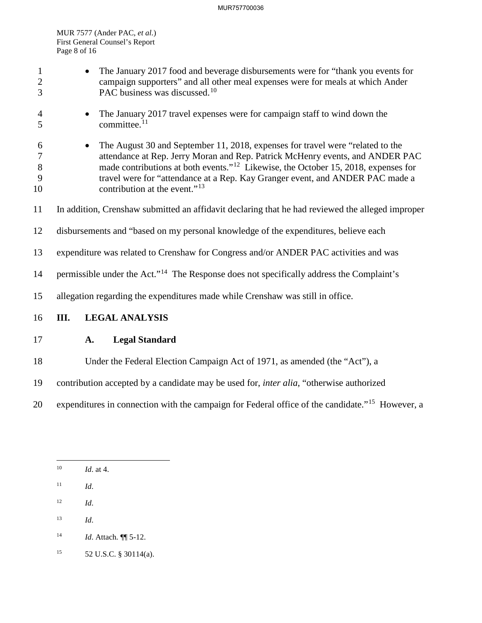#### MUR757700036

MUR 7577 (Ander PAC, *et al.*) First General Counsel's Report Page 8 of 16

| $\mathbf{1}$<br>$\overline{2}$<br>3 | The January 2017 food and beverage disbursements were for "thank you events for<br>campaign supporters" and all other meal expenses were for meals at which Ander<br>PAC business was discussed. <sup>10</sup>                                                                                                                                                                                  |
|-------------------------------------|-------------------------------------------------------------------------------------------------------------------------------------------------------------------------------------------------------------------------------------------------------------------------------------------------------------------------------------------------------------------------------------------------|
| $\overline{4}$<br>5                 | The January 2017 travel expenses were for campaign staff to wind down the<br>$\bullet$<br>committee. <sup>11</sup>                                                                                                                                                                                                                                                                              |
| 6<br>$\tau$<br>8<br>9<br>10         | The August 30 and September 11, 2018, expenses for travel were "related to the<br>attendance at Rep. Jerry Moran and Rep. Patrick McHenry events, and ANDER PAC<br>made contributions at both events." <sup>12</sup> Likewise, the October 15, 2018, expenses for<br>travel were for "attendance at a Rep. Kay Granger event, and ANDER PAC made a<br>contribution at the event." <sup>13</sup> |
| 11                                  | In addition, Crenshaw submitted an affidavit declaring that he had reviewed the alleged improper                                                                                                                                                                                                                                                                                                |
| 12                                  | disbursements and "based on my personal knowledge of the expenditures, believe each                                                                                                                                                                                                                                                                                                             |
| 13                                  | expenditure was related to Crenshaw for Congress and/or ANDER PAC activities and was                                                                                                                                                                                                                                                                                                            |
| 14                                  | permissible under the Act." <sup>14</sup> The Response does not specifically address the Complaint's                                                                                                                                                                                                                                                                                            |
| 15                                  | allegation regarding the expenditures made while Crenshaw was still in office.                                                                                                                                                                                                                                                                                                                  |
| 16                                  | Ш.<br><b>LEGAL ANALYSIS</b>                                                                                                                                                                                                                                                                                                                                                                     |
| 17                                  | <b>Legal Standard</b><br>A.                                                                                                                                                                                                                                                                                                                                                                     |
| 18                                  | Under the Federal Election Campaign Act of 1971, as amended (the "Act"), a                                                                                                                                                                                                                                                                                                                      |
| 19                                  | contribution accepted by a candidate may be used for, <i>inter alia</i> , "otherwise authorized                                                                                                                                                                                                                                                                                                 |
| 20                                  | expenditures in connection with the campaign for Federal office of the candidate." <sup>15</sup> However, a                                                                                                                                                                                                                                                                                     |

- <span id="page-7-2"></span>12 *Id*.
- <span id="page-7-3"></span>13 *Id*.

<span id="page-7-0"></span> $10\,$ *Id.* at 4.

<span id="page-7-1"></span><sup>11</sup> *Id*.

<span id="page-7-4"></span><sup>14</sup> *Id*. Attach. ¶¶ 5-12.

<span id="page-7-5"></span><sup>15 52</sup> U.S.C. § 30114(a).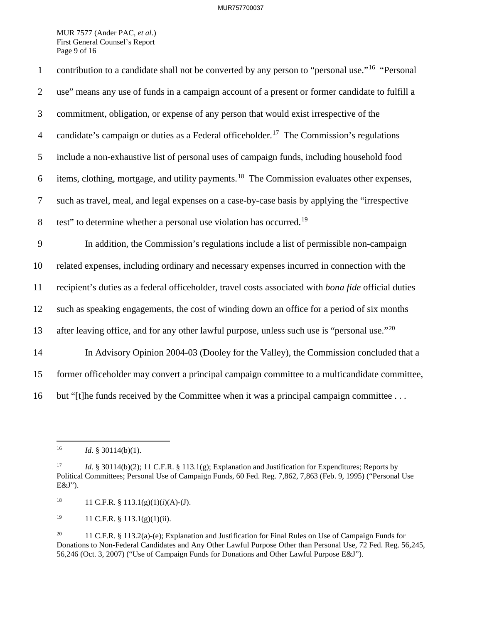#### MUR757700037

MUR 7577 (Ander PAC, *et al.*) First General Counsel's Report Page 9 of 16

1 contribution to a candidate shall not be converted by any person to "personal use."<sup>[16](#page-8-0)</sup> "Personal" 2 use" means any use of funds in a campaign account of a present or former candidate to fulfill a 3 commitment, obligation, or expense of any person that would exist irrespective of the 4 candidate's campaign or duties as a Federal officeholder.<sup>[17](#page-8-1)</sup> The Commission's regulations 5 include a non-exhaustive list of personal uses of campaign funds, including household food  $6$  items, clothing, mortgage, and utility payments.<sup>[18](#page-8-2)</sup> The Commission evaluates other expenses, 7 such as travel, meal, and legal expenses on a case-by-case basis by applying the "irrespective 8 test" to determine whether a personal use violation has occurred.<sup>[19](#page-8-3)</sup> 9 In addition, the Commission's regulations include a list of permissible non-campaign 10 related expenses, including ordinary and necessary expenses incurred in connection with the 11 recipient's duties as a federal officeholder, travel costs associated with *bona fide* official duties 12 such as speaking engagements, the cost of winding down an office for a period of six months 13 after leaving office, and for any other lawful purpose, unless such use is "personal use."<sup>[20](#page-8-4)</sup> 14 In Advisory Opinion 2004-03 (Dooley for the Valley), the Commission concluded that a 15 former officeholder may convert a principal campaign committee to a multicandidate committee, 16 but "[t]he funds received by the Committee when it was a principal campaign committee . . .

 $\overline{a}$ 

<span id="page-8-3"></span><sup>19</sup> 11 C.F.R. § 113.1(g)(1)(ii).

<span id="page-8-0"></span><sup>&</sup>lt;sup>16</sup> *Id.* § 30114(b)(1).

<span id="page-8-1"></span><sup>17</sup> *Id*. § 30114(b)(2); 11 C.F.R. § 113.1(g); Explanation and Justification for Expenditures; Reports by Political Committees; Personal Use of Campaign Funds, 60 Fed. Reg. 7,862, 7,863 (Feb. 9, 1995) ("Personal Use E&J").

<span id="page-8-2"></span><sup>&</sup>lt;sup>18</sup> 11 C.F.R. § 113.1(g)(1)(i)(A)-(J).

<span id="page-8-4"></span><sup>&</sup>lt;sup>20</sup> 11 C.F.R. § 113.2(a)-(e); Explanation and Justification for Final Rules on Use of Campaign Funds for Donations to Non-Federal Candidates and Any Other Lawful Purpose Other than Personal Use, 72 Fed. Reg. 56,245, 56,246 (Oct. 3, 2007) ("Use of Campaign Funds for Donations and Other Lawful Purpose E&J").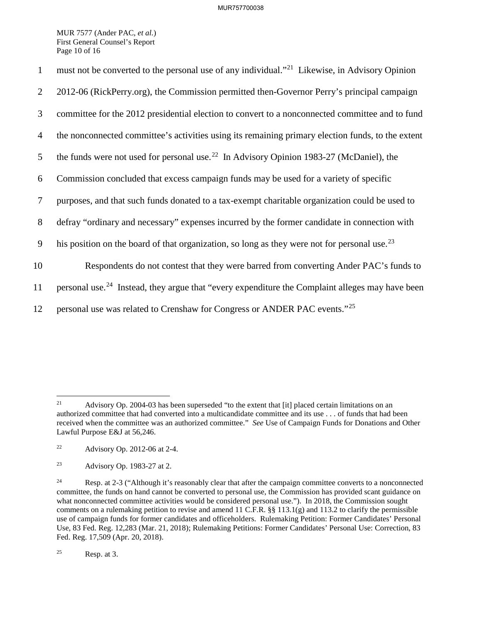MUR 7577 (Ander PAC, *et al.*) First General Counsel's Report Page 10 of 16

| 1              | must not be converted to the personal use of any individual." <sup>21</sup> Likewise, in Advisory Opinion   |
|----------------|-------------------------------------------------------------------------------------------------------------|
| 2              | 2012-06 (RickPerry.org), the Commission permitted then-Governor Perry's principal campaign                  |
| 3              | committee for the 2012 presidential election to convert to a nonconnected committee and to fund             |
| $\overline{4}$ | the nonconnected committee's activities using its remaining primary election funds, to the extent           |
| 5              | the funds were not used for personal use. <sup>22</sup> In Advisory Opinion 1983-27 (McDaniel), the         |
| 6              | Commission concluded that excess campaign funds may be used for a variety of specific                       |
| 7              | purposes, and that such funds donated to a tax-exempt charitable organization could be used to              |
| 8              | defray "ordinary and necessary" expenses incurred by the former candidate in connection with                |
| 9              | his position on the board of that organization, so long as they were not for personal use. <sup>23</sup>    |
| 10             | Respondents do not contest that they were barred from converting Ander PAC's funds to                       |
| 11             | personal use. <sup>24</sup> Instead, they argue that "every expenditure the Complaint alleges may have been |
| 12             | personal use was related to Crenshaw for Congress or ANDER PAC events." <sup>25</sup>                       |

<span id="page-9-0"></span> $21$ Advisory Op. 2004-03 has been superseded "to the extent that [it] placed certain limitations on an authorized committee that had converted into a multicandidate committee and its use . . . of funds that had been received when the committee was an authorized committee." *See* Use of Campaign Funds for Donations and Other Lawful Purpose E&J at 56,246.

<span id="page-9-1"></span><sup>22</sup> Advisory Op. 2012-06 at 2-4.

<span id="page-9-2"></span><sup>23</sup> Advisory Op. 1983-27 at 2.

<span id="page-9-3"></span><sup>24</sup> Resp. at 2-3 ("Although it's reasonably clear that after the campaign committee converts to a nonconnected committee, the funds on hand cannot be converted to personal use, the Commission has provided scant guidance on what nonconnected committee activities would be considered personal use."). In 2018, the Commission sought comments on a rulemaking petition to revise and amend 11 C.F.R. §§ 113.1(g) and 113.2 to clarify the permissible use of campaign funds for former candidates and officeholders. Rulemaking Petition: Former Candidates' Personal Use, 83 Fed. Reg. 12,283 (Mar. 21, 2018); Rulemaking Petitions: Former Candidates' Personal Use: Correction, 83 Fed. Reg. 17,509 (Apr. 20, 2018).

<span id="page-9-4"></span> $25$  Resp. at 3.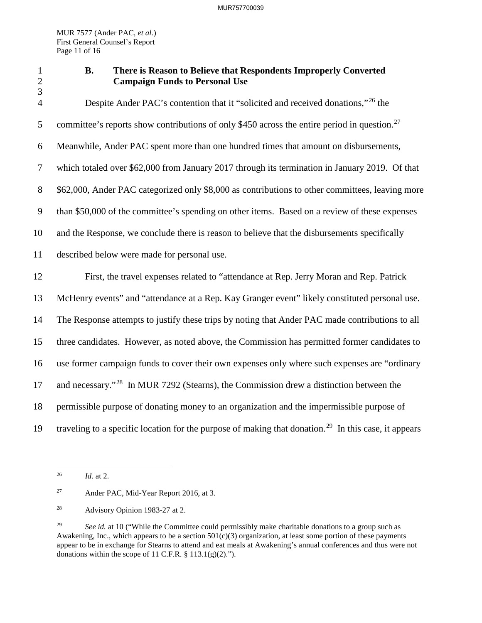MUR 7577 (Ander PAC, *et al.*) First General Counsel's Report Page 11 of 16

### 1 **B. There is Reason to Believe that Respondents Improperly Converted**  2 **Campaign Funds to Personal Use**

3 Despite Ander PAC's contention that it "solicited and received donations,"[26](#page-10-0) 4 the 5 committee's reports show contributions of only \$450 across the entire period in question.<sup>[27](#page-10-1)</sup> 6 Meanwhile, Ander PAC spent more than one hundred times that amount on disbursements, 7 which totaled over \$62,000 from January 2017 through its termination in January 2019. Of that 8 \$62,000, Ander PAC categorized only \$8,000 as contributions to other committees, leaving more 9 than \$50,000 of the committee's spending on other items. Based on a review of these expenses 10 and the Response, we conclude there is reason to believe that the disbursements specifically 11 described below were made for personal use. 12 First, the travel expenses related to "attendance at Rep. Jerry Moran and Rep. Patrick 13 McHenry events" and "attendance at a Rep. Kay Granger event" likely constituted personal use. 14 The Response attempts to justify these trips by noting that Ander PAC made contributions to all 15 three candidates. However, as noted above, the Commission has permitted former candidates to 16 use former campaign funds to cover their own expenses only where such expenses are "ordinary 17 and necessary."<sup>[28](#page-10-2)</sup> In MUR 7292 (Stearns), the Commission drew a distinction between the 18 permissible purpose of donating money to an organization and the impermissible purpose of traveling to a specific location for the purpose of making that donation.<sup>29</sup> In this case, it appears

<span id="page-10-0"></span> $\overline{a}$ 26 *Id*. at 2.

<span id="page-10-1"></span><sup>27</sup> Ander PAC, Mid-Year Report 2016, at 3.

<span id="page-10-2"></span><sup>28</sup> Advisory Opinion 1983-27 at 2.

<span id="page-10-3"></span><sup>&</sup>lt;sup>29</sup> *See id.* at 10 ("While the Committee could permissibly make charitable donations to a group such as Awakening, Inc., which appears to be a section  $501(c)(3)$  organization, at least some portion of these payments appear to be in exchange for Stearns to attend and eat meals at Awakening's annual conferences and thus were not donations within the scope of 11 C.F.R.  $\S$  113.1(g)(2).").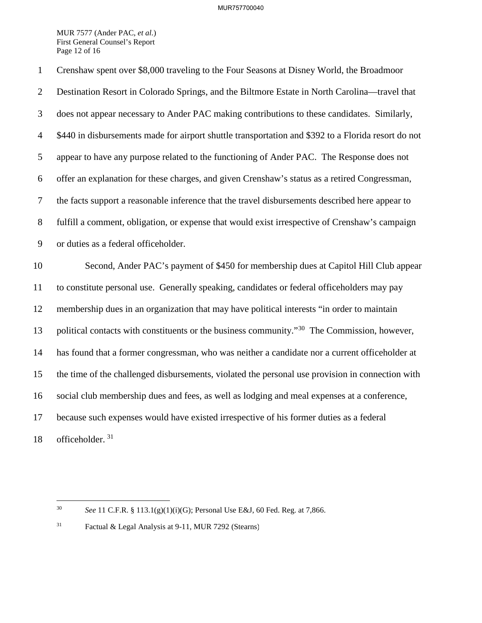MUR 7577 (Ander PAC, *et al.*) First General Counsel's Report Page 12 of 16

1 Crenshaw spent over \$8,000 traveling to the Four Seasons at Disney World, the Broadmoor 2 Destination Resort in Colorado Springs, and the Biltmore Estate in North Carolina—travel that 3 does not appear necessary to Ander PAC making contributions to these candidates. Similarly, 4 \$440 in disbursements made for airport shuttle transportation and \$392 to a Florida resort do not 5 appear to have any purpose related to the functioning of Ander PAC. The Response does not 6 offer an explanation for these charges, and given Crenshaw's status as a retired Congressman, 7 the facts support a reasonable inference that the travel disbursements described here appear to 8 fulfill a comment, obligation, or expense that would exist irrespective of Crenshaw's campaign 9 or duties as a federal officeholder. 10 Second, Ander PAC's payment of \$450 for membership dues at Capitol Hill Club appear 11 to constitute personal use. Generally speaking, candidates or federal officeholders may pay 12 membership dues in an organization that may have political interests "in order to maintain 13 political contacts with constituents or the business community."<sup>[30](#page-11-0)</sup> The Commission, however, 14 has found that a former congressman, who was neither a candidate nor a current officeholder at 15 the time of the challenged disbursements, violated the personal use provision in connection with 16 social club membership dues and fees, as well as lodging and meal expenses at a conference, 17 because such expenses would have existed irrespective of his former duties as a federal 18 officeholder.  $31$ 

 $\overline{a}$ 

<span id="page-11-0"></span><sup>30</sup> *See* 11 C.F.R. § 113.1(g)(1)(i)(G); Personal Use E&J, 60 Fed. Reg. at 7,866.

<span id="page-11-1"></span><sup>31</sup> Factual & Legal Analysis at 9-11, MUR 7292 (Stearns)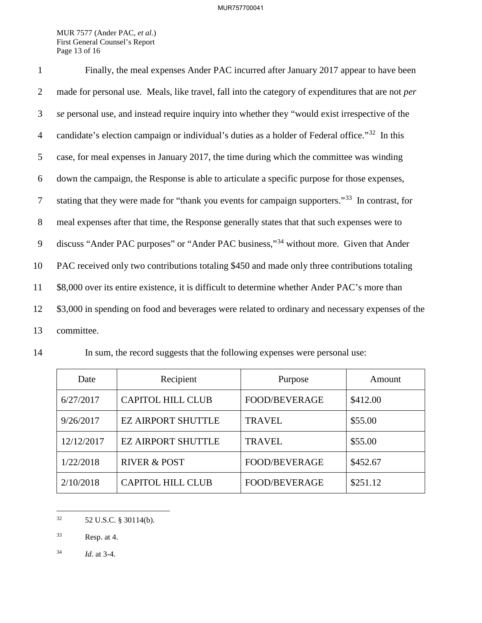MUR 7577 (Ander PAC, *et al.*) First General Counsel's Report Page 13 of 16

1 Finally, the meal expenses Ander PAC incurred after January 2017 appear to have been 2 made for personal use. Meals, like travel, fall into the category of expenditures that are not *per*  3 *se* personal use, and instead require inquiry into whether they "would exist irrespective of the 4 candidate's election campaign or individual's duties as a holder of Federal office."<sup>[32](#page-12-0)</sup> In this 5 case, for meal expenses in January 2017, the time during which the committee was winding 6 down the campaign, the Response is able to articulate a specific purpose for those expenses, 7 stating that they were made for "thank you events for campaign supporters."<sup>[33](#page-12-1)</sup> In contrast, for 8 meal expenses after that time, the Response generally states that that such expenses were to 9 discuss "Ander PAC purposes" or "Ander PAC business,"<sup>[34](#page-12-2)</sup> without more. Given that Ander 10 PAC received only two contributions totaling \$450 and made only three contributions totaling 11 \$8,000 over its entire existence, it is difficult to determine whether Ander PAC's more than 12 \$3,000 in spending on food and beverages were related to ordinary and necessary expenses of the 13 committee.

14 In sum, the record suggests that the following expenses were personal use:

| Date       | Recipient                 | Purpose              | Amount   |
|------------|---------------------------|----------------------|----------|
| 6/27/2017  | <b>CAPITOL HILL CLUB</b>  | <b>FOOD/BEVERAGE</b> | \$412.00 |
| 9/26/2017  | <b>EZ AIRPORT SHUTTLE</b> | <b>TRAVEL</b>        | \$55.00  |
| 12/12/2017 | <b>EZ AIRPORT SHUTTLE</b> | <b>TRAVEL</b>        | \$55.00  |
| 1/22/2018  | <b>RIVER &amp; POST</b>   | <b>FOOD/BEVERAGE</b> | \$452.67 |
| 2/10/2018  | <b>CAPITOL HILL CLUB</b>  | <b>FOOD/BEVERAGE</b> | \$251.12 |

<span id="page-12-0"></span> $32\,$ 32 52 U.S.C. § 30114(b).

<span id="page-12-1"></span> $33$  Resp. at 4.

<span id="page-12-2"></span>34 *Id*. at 3-4.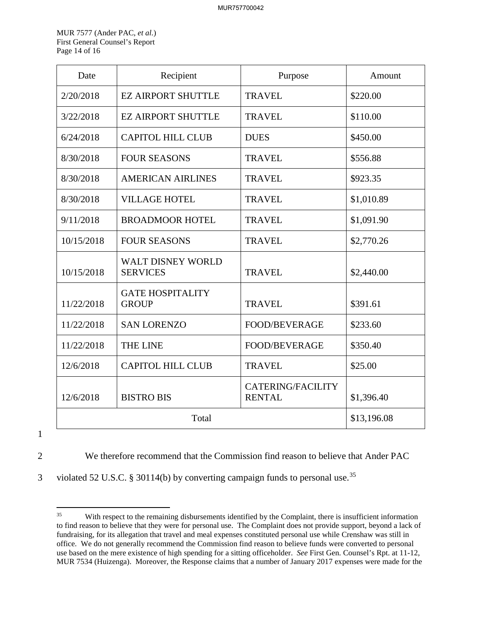MUR 7577 (Ander PAC, *et al.*) First General Counsel's Report Page 14 of 16

| Date                 | Recipient                                   | Purpose                                   | Amount     |
|----------------------|---------------------------------------------|-------------------------------------------|------------|
| 2/20/2018            | <b>EZ AIRPORT SHUTTLE</b>                   | <b>TRAVEL</b>                             | \$220.00   |
| 3/22/2018            | <b>EZ AIRPORT SHUTTLE</b>                   | <b>TRAVEL</b>                             | \$110.00   |
| 6/24/2018            | <b>CAPITOL HILL CLUB</b>                    | <b>DUES</b>                               | \$450.00   |
| 8/30/2018            | <b>FOUR SEASONS</b>                         | <b>TRAVEL</b>                             | \$556.88   |
| 8/30/2018            | <b>AMERICAN AIRLINES</b>                    | <b>TRAVEL</b>                             | \$923.35   |
| 8/30/2018            | <b>VILLAGE HOTEL</b>                        | <b>TRAVEL</b>                             | \$1,010.89 |
| 9/11/2018            | <b>BROADMOOR HOTEL</b>                      | <b>TRAVEL</b>                             | \$1,091.90 |
| 10/15/2018           | <b>FOUR SEASONS</b>                         | <b>TRAVEL</b>                             | \$2,770.26 |
| 10/15/2018           | <b>WALT DISNEY WORLD</b><br><b>SERVICES</b> | <b>TRAVEL</b>                             | \$2,440.00 |
| 11/22/2018           | <b>GATE HOSPITALITY</b><br><b>GROUP</b>     | <b>TRAVEL</b>                             | \$391.61   |
| 11/22/2018           | <b>SAN LORENZO</b>                          | <b>FOOD/BEVERAGE</b>                      | \$233.60   |
| 11/22/2018           | <b>THE LINE</b>                             | <b>FOOD/BEVERAGE</b>                      | \$350.40   |
| 12/6/2018            | <b>CAPITOL HILL CLUB</b>                    | <b>TRAVEL</b>                             | \$25.00    |
| 12/6/2018            | <b>BISTRO BIS</b>                           | <b>CATERING/FACILITY</b><br><b>RENTAL</b> | \$1,396.40 |
| Total<br>\$13,196.08 |                                             |                                           |            |

1

2 We therefore recommend that the Commission find reason to believe that Ander PAC

<span id="page-13-0"></span>3 violated 52 U.S.C. § 30114(b) by converting campaign funds to personal use.<sup>[35](#page-13-0)</sup>

 $35$ With respect to the remaining disbursements identified by the Complaint, there is insufficient information to find reason to believe that they were for personal use. The Complaint does not provide support, beyond a lack of fundraising, for its allegation that travel and meal expenses constituted personal use while Crenshaw was still in office. We do not generally recommend the Commission find reason to believe funds were converted to personal use based on the mere existence of high spending for a sitting officeholder. *See* First Gen. Counsel's Rpt. at 11-12, MUR 7534 (Huizenga). Moreover, the Response claims that a number of January 2017 expenses were made for the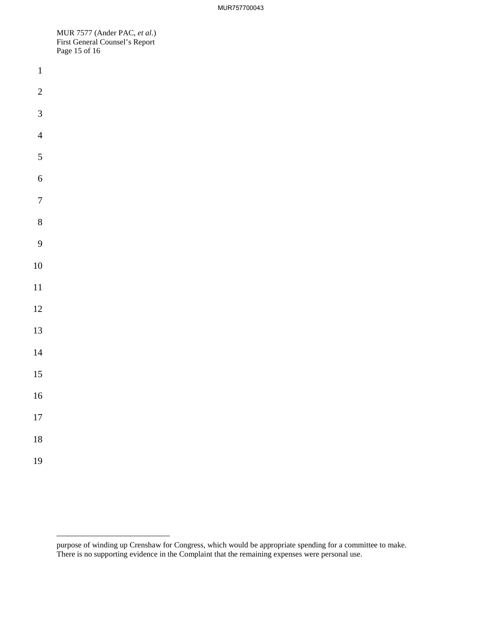MUR 7577 (Ander PAC, *et al.*) First General Counsel's Report Page 15 of 16

| $\mathbf{1}$            |  |  |
|-------------------------|--|--|
| $\overline{c}$          |  |  |
| $\overline{\mathbf{3}}$ |  |  |
| $\overline{4}$          |  |  |
| $\overline{5}$          |  |  |
| $\overline{6}$          |  |  |
| $\overline{7}$          |  |  |
| 8                       |  |  |
| 9                       |  |  |
| 10                      |  |  |
| 11                      |  |  |
| 12                      |  |  |
| 13                      |  |  |
| 14                      |  |  |
| 15                      |  |  |
| 16                      |  |  |
| 17                      |  |  |
| 18                      |  |  |
| 19                      |  |  |

 $\overline{a}$ 

purpose of winding up Crenshaw for Congress, which would be appropriate spending for a committee to make. There is no supporting evidence in the Complaint that the remaining expenses were personal use.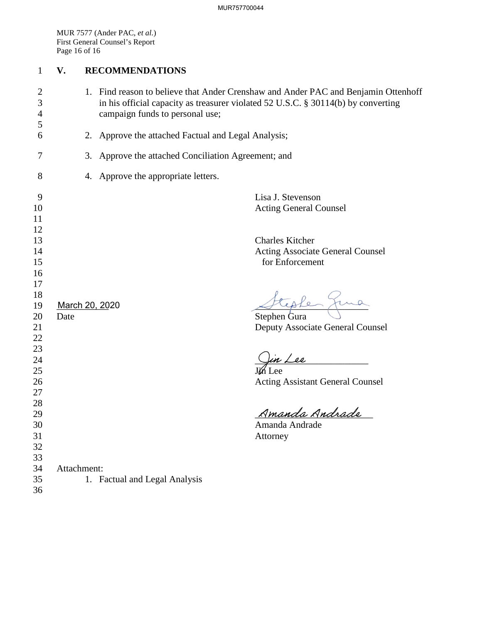MUR 7577 (Ander PAC, *et al.*) First General Counsel's Report Page 16 of 16

# 1 **V. RECOMMENDATIONS**

| 2        |                |                                                     | 1. Find reason to believe that Ander Crenshaw and Ander PAC and Benjamin Ottenhoff |
|----------|----------------|-----------------------------------------------------|------------------------------------------------------------------------------------|
| 3        |                |                                                     | in his official capacity as treasurer violated 52 U.S.C. § 30114(b) by converting  |
| 4<br>5   |                | campaign funds to personal use;                     |                                                                                    |
| 6        | 2.             | Approve the attached Factual and Legal Analysis;    |                                                                                    |
| 7        |                | 3. Approve the attached Conciliation Agreement; and |                                                                                    |
| 8        |                | 4. Approve the appropriate letters.                 |                                                                                    |
| 9        |                |                                                     | Lisa J. Stevenson                                                                  |
| 10       |                |                                                     | <b>Acting General Counsel</b>                                                      |
| 11       |                |                                                     |                                                                                    |
| 12       |                |                                                     |                                                                                    |
| 13       |                |                                                     | <b>Charles Kitcher</b>                                                             |
| 14       |                |                                                     | <b>Acting Associate General Counsel</b>                                            |
| 15       |                |                                                     | for Enforcement                                                                    |
| 16       |                |                                                     |                                                                                    |
| 17       |                |                                                     |                                                                                    |
| 18<br>19 | March 20, 2020 |                                                     | teste Juna                                                                         |
| 20       | Date           |                                                     | Stephen Gura                                                                       |
| 21       |                |                                                     | Deputy Associate General Counsel                                                   |
| 22       |                |                                                     |                                                                                    |
| 23       |                |                                                     |                                                                                    |
| 24       |                |                                                     | <u>Jin Lee</u>                                                                     |
| 25       |                |                                                     |                                                                                    |
| 26       |                |                                                     | <b>Acting Assistant General Counsel</b>                                            |
| 27       |                |                                                     |                                                                                    |
| 28       |                |                                                     |                                                                                    |
| 29       |                |                                                     | <u>Amanda Andrade</u><br>Amanda Andrade                                            |
| 30       |                |                                                     |                                                                                    |
| 31       |                |                                                     | Attorney                                                                           |
| 32       |                |                                                     |                                                                                    |
| 33       |                |                                                     |                                                                                    |
| 34       | Attachment:    |                                                     |                                                                                    |
| 35       |                | 1. Factual and Legal Analysis                       |                                                                                    |
| 36       |                |                                                     |                                                                                    |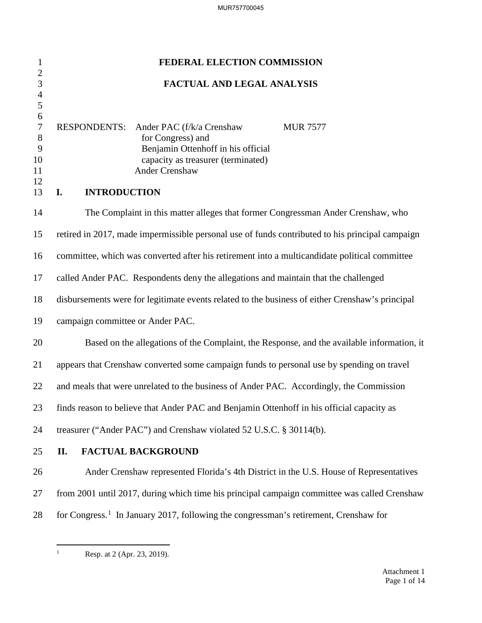| $\mathbf{1}$                                                                                | FEDERAL ELECTION COMMISSION                                                                                                                                                                                      |  |  |
|---------------------------------------------------------------------------------------------|------------------------------------------------------------------------------------------------------------------------------------------------------------------------------------------------------------------|--|--|
| $\overline{c}$<br>$\overline{\mathbf{3}}$                                                   | <b>FACTUAL AND LEGAL ANALYSIS</b>                                                                                                                                                                                |  |  |
| $\frac{4}{5}$<br>$\boldsymbol{6}$<br>$\boldsymbol{7}$<br>$8\,$<br>9<br>10<br>11<br>12<br>13 | RESPONDENTS: Ander PAC (f/k/a Crenshaw<br><b>MUR 7577</b><br>for Congress) and<br>Benjamin Ottenhoff in his official<br>capacity as treasurer (terminated)<br><b>Ander Crenshaw</b><br><b>INTRODUCTION</b><br>I. |  |  |
|                                                                                             |                                                                                                                                                                                                                  |  |  |
| 14                                                                                          | The Complaint in this matter alleges that former Congressman Ander Crenshaw, who                                                                                                                                 |  |  |
| 15                                                                                          | retired in 2017, made impermissible personal use of funds contributed to his principal campaign                                                                                                                  |  |  |
| 16                                                                                          | committee, which was converted after his retirement into a multicandidate political committee                                                                                                                    |  |  |
| 17                                                                                          | called Ander PAC. Respondents deny the allegations and maintain that the challenged                                                                                                                              |  |  |
| 18                                                                                          | disbursements were for legitimate events related to the business of either Crenshaw's principal                                                                                                                  |  |  |
| 19                                                                                          | campaign committee or Ander PAC.                                                                                                                                                                                 |  |  |
| 20                                                                                          | Based on the allegations of the Complaint, the Response, and the available information, it                                                                                                                       |  |  |
| 21                                                                                          | appears that Crenshaw converted some campaign funds to personal use by spending on travel                                                                                                                        |  |  |
| 22                                                                                          | and meals that were unrelated to the business of Ander PAC. Accordingly, the Commission                                                                                                                          |  |  |
| 23                                                                                          | finds reason to believe that Ander PAC and Benjamin Ottenhoff in his official capacity as                                                                                                                        |  |  |
| 24                                                                                          | treasurer ("Ander PAC") and Crenshaw violated 52 U.S.C. § 30114(b).                                                                                                                                              |  |  |
| 25                                                                                          | П.<br><b>FACTUAL BACKGROUND</b>                                                                                                                                                                                  |  |  |
| 26                                                                                          | Ander Crenshaw represented Florida's 4th District in the U.S. House of Representatives                                                                                                                           |  |  |
| 27                                                                                          | from 2001 until 2017, during which time his principal campaign committee was called Crenshaw                                                                                                                     |  |  |
| 28                                                                                          | for Congress. <sup>1</sup> In January 2017, following the congressman's retirement, Crenshaw for                                                                                                                 |  |  |

Resp. at 2 (Apr. 23, 2019).

<span id="page-16-0"></span> $\frac{1}{1}$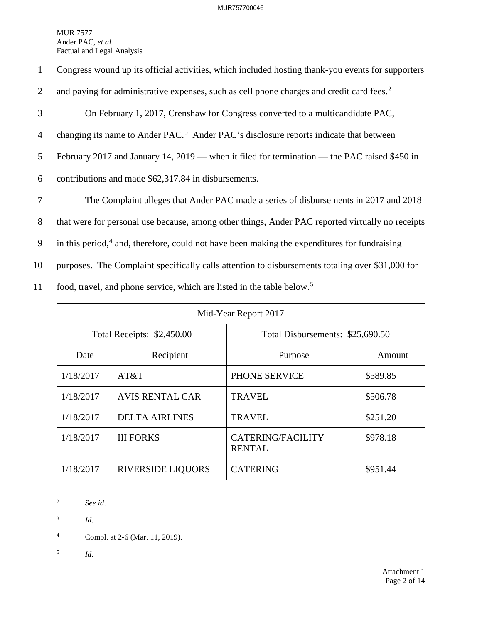| $\mathbf{1}$   | Congress wound up its official activities, which included hosting thank-you events for supporters        |
|----------------|----------------------------------------------------------------------------------------------------------|
| 2              | and paying for administrative expenses, such as cell phone charges and credit card fees. <sup>2</sup>    |
| 3              | On February 1, 2017, Crenshaw for Congress converted to a multicandidate PAC,                            |
| $\overline{4}$ | changing its name to Ander PAC. <sup>3</sup> Ander PAC's disclosure reports indicate that between        |
| 5              | February 2017 and January 14, 2019 — when it filed for termination — the PAC raised \$450 in             |
| 6              | contributions and made \$62,317.84 in disbursements.                                                     |
| 7              | The Complaint alleges that Ander PAC made a series of disbursements in 2017 and 2018                     |
| 8              | that were for personal use because, among other things, Ander PAC reported virtually no receipts         |
| 9              | in this period, <sup>4</sup> and, therefore, could not have been making the expenditures for fundraising |
| 10             | purposes. The Complaint specifically calls attention to disbursements totaling over \$31,000 for         |
| 11             | food, travel, and phone service, which are listed in the table below. <sup>5</sup>                       |

| Mid-Year Report 2017                                           |                          |                                           |          |
|----------------------------------------------------------------|--------------------------|-------------------------------------------|----------|
| Total Receipts: \$2,450.00<br>Total Disbursements: \$25,690.50 |                          |                                           |          |
| Date                                                           | Recipient                | Purpose                                   | Amount   |
| 1/18/2017                                                      | AT&T                     | <b>PHONE SERVICE</b>                      | \$589.85 |
| 1/18/2017                                                      | <b>AVIS RENTAL CAR</b>   | <b>TRAVEL</b>                             | \$506.78 |
| 1/18/2017                                                      | <b>DELTA AIRLINES</b>    | <b>TRAVEL</b>                             | \$251.20 |
| 1/18/2017                                                      | <b>III FORKS</b>         | <b>CATERING/FACILITY</b><br><b>RENTAL</b> | \$978.18 |
| 1/18/2017                                                      | <b>RIVERSIDE LIQUORS</b> | <b>CATERING</b>                           | \$951.44 |

 $\frac{1}{2}$ *See id*.

- <span id="page-17-1"></span><span id="page-17-0"></span>3 *Id*.
- <span id="page-17-2"></span>4 Compl. at 2-6 (Mar. 11, 2019).
- <span id="page-17-3"></span>5 *Id*.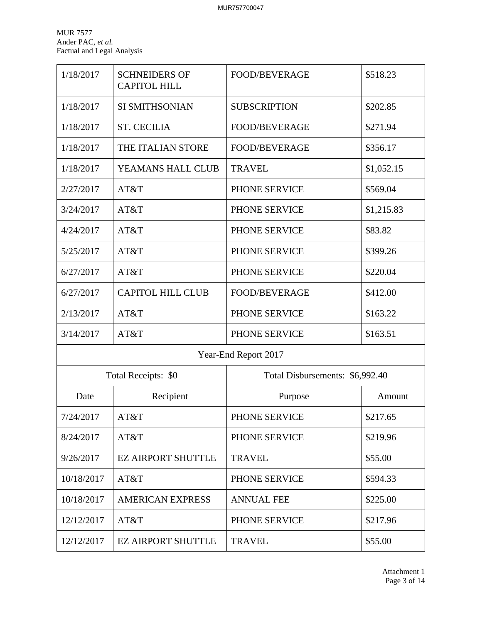| 1/18/2017            | <b>SCHNEIDERS OF</b><br><b>CAPITOL HILL</b> | <b>FOOD/BEVERAGE</b>            | \$518.23   |
|----------------------|---------------------------------------------|---------------------------------|------------|
| 1/18/2017            | <b>SI SMITHSONIAN</b>                       | <b>SUBSCRIPTION</b>             | \$202.85   |
| 1/18/2017            | <b>ST. CECILIA</b>                          | <b>FOOD/BEVERAGE</b>            | \$271.94   |
| 1/18/2017            | THE ITALIAN STORE                           | <b>FOOD/BEVERAGE</b>            | \$356.17   |
| 1/18/2017            | YEAMANS HALL CLUB                           | <b>TRAVEL</b>                   | \$1,052.15 |
| 2/27/2017            | AT&T                                        | PHONE SERVICE                   | \$569.04   |
| 3/24/2017            | AT&T                                        | PHONE SERVICE                   | \$1,215.83 |
| 4/24/2017            | AT&T                                        | PHONE SERVICE                   | \$83.82    |
| 5/25/2017            | AT&T                                        | PHONE SERVICE                   | \$399.26   |
| 6/27/2017            | AT&T                                        | PHONE SERVICE                   | \$220.04   |
| 6/27/2017            | <b>CAPITOL HILL CLUB</b>                    | <b>FOOD/BEVERAGE</b>            | \$412.00   |
| 2/13/2017            | AT&T                                        | PHONE SERVICE                   | \$163.22   |
| 3/14/2017            | AT&T                                        | PHONE SERVICE                   | \$163.51   |
| Year-End Report 2017 |                                             |                                 |            |
|                      | Total Receipts: \$0                         | Total Disbursements: \$6,992.40 |            |
| Date                 | Recipient                                   | Purpose                         | Amount     |
| 7/24/2017            | AT&T                                        | PHONE SERVICE                   | \$217.65   |
| 8/24/2017            | AT&T                                        | PHONE SERVICE                   | \$219.96   |
| 9/26/2017            | <b>EZ AIRPORT SHUTTLE</b>                   | <b>TRAVEL</b>                   | \$55.00    |
| 10/18/2017           | AT&T                                        | PHONE SERVICE                   | \$594.33   |
| 10/18/2017           | <b>AMERICAN EXPRESS</b>                     | <b>ANNUAL FEE</b>               | \$225.00   |
| 12/12/2017           | AT&T                                        | PHONE SERVICE                   | \$217.96   |
| 12/12/2017           | <b>EZ AIRPORT SHUTTLE</b>                   | <b>TRAVEL</b>                   | \$55.00    |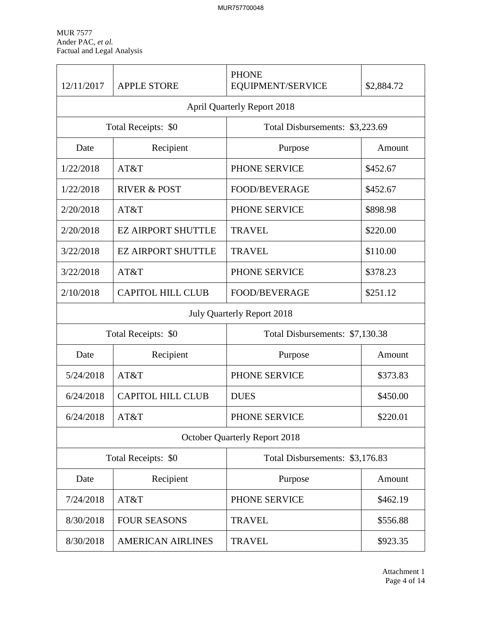| 12/11/2017                                             | <b>APPLE STORE</b>                   | <b>PHONE</b><br><b>EQUIPMENT/SERVICE</b> | \$2,884.72 |
|--------------------------------------------------------|--------------------------------------|------------------------------------------|------------|
|                                                        |                                      | <b>April Quarterly Report 2018</b>       |            |
| Total Receipts: \$0<br>Total Disbursements: \$3,223.69 |                                      |                                          |            |
| Date                                                   | Recipient                            | Purpose                                  | Amount     |
| 1/22/2018                                              | AT&T                                 | PHONE SERVICE                            | \$452.67   |
| 1/22/2018                                              | <b>RIVER &amp; POST</b>              | <b>FOOD/BEVERAGE</b>                     | \$452.67   |
| 2/20/2018                                              | AT&T                                 | PHONE SERVICE                            | \$898.98   |
| 2/20/2018                                              | <b>EZ AIRPORT SHUTTLE</b>            | <b>TRAVEL</b>                            | \$220.00   |
| 3/22/2018                                              | <b>EZ AIRPORT SHUTTLE</b>            | <b>TRAVEL</b>                            | \$110.00   |
| 3/22/2018                                              | AT&T                                 | PHONE SERVICE                            | \$378.23   |
| 2/10/2018                                              | <b>CAPITOL HILL CLUB</b>             | FOOD/BEVERAGE                            | \$251.12   |
|                                                        |                                      | <b>July Quarterly Report 2018</b>        |            |
|                                                        | Total Receipts: \$0                  | Total Disbursements: \$7,130.38          |            |
| Date                                                   | Recipient                            | Purpose                                  | Amount     |
| 5/24/2018                                              | AT&T                                 | PHONE SERVICE                            | \$373.83   |
| 6/24/2018                                              | <b>CAPITOL HILL CLUB</b>             | <b>DUES</b>                              | \$450.00   |
| 6/24/2018                                              | AT&T                                 | PHONE SERVICE                            | \$220.01   |
|                                                        | <b>October Quarterly Report 2018</b> |                                          |            |
|                                                        | Total Receipts: \$0                  | Total Disbursements: \$3,176.83          |            |
| Date                                                   | Recipient                            | Purpose                                  | Amount     |
| 7/24/2018                                              | AT&T                                 | PHONE SERVICE                            | \$462.19   |
| 8/30/2018                                              | <b>FOUR SEASONS</b>                  | <b>TRAVEL</b>                            | \$556.88   |
| 8/30/2018                                              | <b>AMERICAN AIRLINES</b>             | <b>TRAVEL</b>                            | \$923.35   |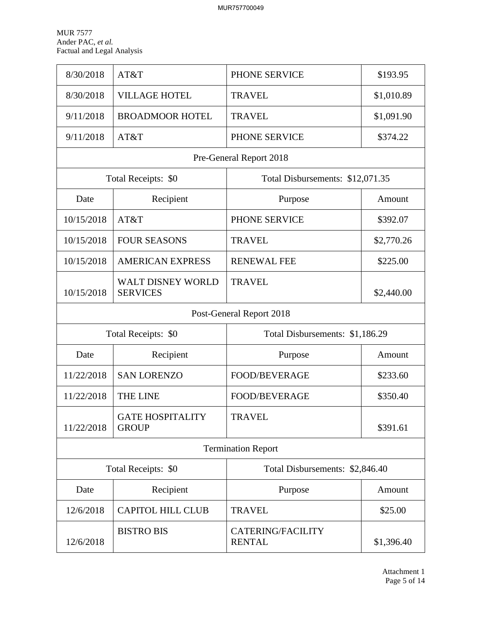| 8/30/2018                                              | AT&T                                                   | PHONE SERVICE                             | \$193.95   |  |
|--------------------------------------------------------|--------------------------------------------------------|-------------------------------------------|------------|--|
| 8/30/2018                                              | <b>VILLAGE HOTEL</b>                                   | <b>TRAVEL</b>                             | \$1,010.89 |  |
| 9/11/2018                                              | <b>BROADMOOR HOTEL</b>                                 | <b>TRAVEL</b>                             | \$1,091.90 |  |
| 9/11/2018                                              | AT&T                                                   | PHONE SERVICE                             | \$374.22   |  |
|                                                        |                                                        | Pre-General Report 2018                   |            |  |
|                                                        | Total Receipts: \$0                                    | Total Disbursements: \$12,071.35          |            |  |
| Date                                                   | Recipient                                              | Purpose                                   | Amount     |  |
| 10/15/2018                                             | AT&T                                                   | PHONE SERVICE                             | \$392.07   |  |
| 10/15/2018                                             | <b>FOUR SEASONS</b>                                    | <b>TRAVEL</b>                             | \$2,770.26 |  |
| 10/15/2018                                             | <b>AMERICAN EXPRESS</b>                                | <b>RENEWAL FEE</b>                        | \$225.00   |  |
| 10/15/2018                                             | WALT DISNEY WORLD<br><b>SERVICES</b>                   | <b>TRAVEL</b>                             | \$2,440.00 |  |
|                                                        |                                                        | Post-General Report 2018                  |            |  |
|                                                        | Total Receipts: \$0<br>Total Disbursements: \$1,186.29 |                                           |            |  |
| Date                                                   | Recipient                                              | Purpose                                   | Amount     |  |
| 11/22/2018                                             | <b>SAN LORENZO</b>                                     | <b>FOOD/BEVERAGE</b>                      | \$233.60   |  |
| 11/22/2018                                             | <b>THE LINE</b>                                        | <b>FOOD/BEVERAGE</b>                      | \$350.40   |  |
| 11/22/2018                                             | <b>GATE HOSPITALITY</b><br><b>GROUP</b>                | <b>TRAVEL</b>                             | \$391.61   |  |
|                                                        |                                                        | <b>Termination Report</b>                 |            |  |
| Total Receipts: \$0<br>Total Disbursements: \$2,846.40 |                                                        |                                           |            |  |
| Date                                                   | Recipient                                              | Purpose                                   | Amount     |  |
| 12/6/2018                                              | <b>CAPITOL HILL CLUB</b>                               | <b>TRAVEL</b>                             | \$25.00    |  |
| 12/6/2018                                              | <b>BISTRO BIS</b>                                      | <b>CATERING/FACILITY</b><br><b>RENTAL</b> | \$1,396.40 |  |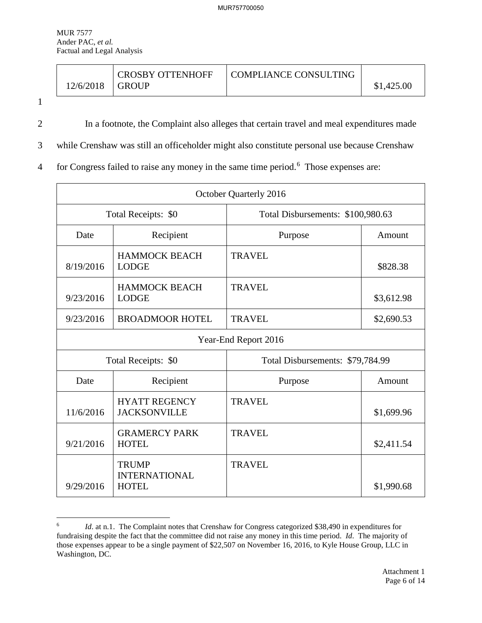| COMPLIANCE CONSULTING<br><b>CROSBY OTTENHOFF</b><br>12/6/2018   GROUP<br>\$1,425.00 |  |
|-------------------------------------------------------------------------------------|--|
|-------------------------------------------------------------------------------------|--|

1

2 In a footnote, the Complaint also alleges that certain travel and meal expenditures made

3 while Crenshaw was still an officeholder might also constitute personal use because Crenshaw

4 for Congress failed to raise any money in the same time period.<sup>[6](#page-21-0)</sup> Those expenses are:

| October Quarterly 2016                                  |                                                      |                                   |            |
|---------------------------------------------------------|------------------------------------------------------|-----------------------------------|------------|
| Total Receipts: \$0                                     |                                                      | Total Disbursements: \$100,980.63 |            |
| Date                                                    | Recipient                                            | Purpose                           | Amount     |
| 8/19/2016                                               | <b>HAMMOCK BEACH</b><br><b>LODGE</b>                 | <b>TRAVEL</b>                     | \$828.38   |
| 9/23/2016                                               | <b>HAMMOCK BEACH</b><br><b>LODGE</b>                 | <b>TRAVEL</b>                     | \$3,612.98 |
| 9/23/2016                                               | <b>BROADMOOR HOTEL</b>                               | <b>TRAVEL</b>                     | \$2,690.53 |
|                                                         | Year-End Report 2016                                 |                                   |            |
| Total Receipts: \$0<br>Total Disbursements: \$79,784.99 |                                                      |                                   |            |
| Date                                                    | Recipient                                            | Purpose                           | Amount     |
| 11/6/2016                                               | <b>HYATT REGENCY</b><br><b>JACKSONVILLE</b>          | <b>TRAVEL</b>                     | \$1,699.96 |
| 9/21/2016                                               | <b>GRAMERCY PARK</b><br><b>HOTEL</b>                 | <b>TRAVEL</b>                     | \$2,411.54 |
| 9/29/2016                                               | <b>TRUMP</b><br><b>INTERNATIONAL</b><br><b>HOTEL</b> | <b>TRAVEL</b>                     | \$1,990.68 |

<span id="page-21-0"></span> $\overline{a}$ 6 *Id.* at n.1. The Complaint notes that Crenshaw for Congress categorized \$38,490 in expenditures for fundraising despite the fact that the committee did not raise any money in this time period. *Id*. The majority of those expenses appear to be a single payment of \$22,507 on November 16, 2016, to Kyle House Group, LLC in Washington, DC.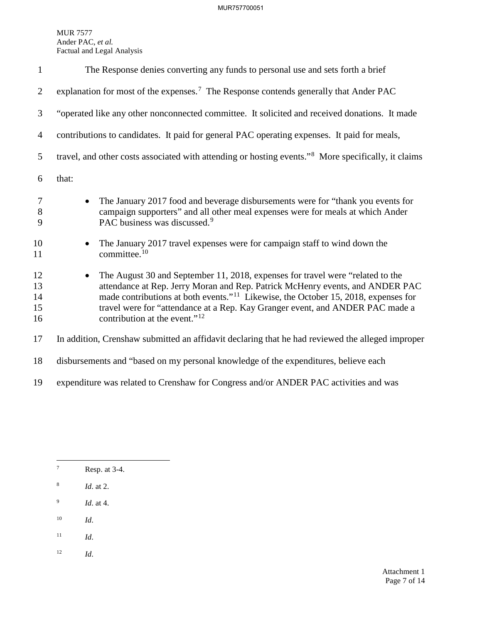| $\mathbf{1}$               | The Response denies converting any funds to personal use and sets forth a brief                                                                                                                                                                                                                                                                                                                              |
|----------------------------|--------------------------------------------------------------------------------------------------------------------------------------------------------------------------------------------------------------------------------------------------------------------------------------------------------------------------------------------------------------------------------------------------------------|
| 2                          | explanation for most of the expenses. <sup>7</sup> The Response contends generally that Ander PAC                                                                                                                                                                                                                                                                                                            |
| 3                          | "operated like any other nonconnected committee. It solicited and received donations. It made                                                                                                                                                                                                                                                                                                                |
| $\overline{4}$             | contributions to candidates. It paid for general PAC operating expenses. It paid for meals,                                                                                                                                                                                                                                                                                                                  |
| 5                          | travel, and other costs associated with attending or hosting events." <sup>8</sup> More specifically, it claims                                                                                                                                                                                                                                                                                              |
| 6                          | that:                                                                                                                                                                                                                                                                                                                                                                                                        |
| 7<br>8<br>9                | The January 2017 food and beverage disbursements were for "thank you events for<br>campaign supporters" and all other meal expenses were for meals at which Ander<br>PAC business was discussed. <sup>9</sup>                                                                                                                                                                                                |
| 10<br>11                   | The January 2017 travel expenses were for campaign staff to wind down the<br>committee. <sup>10</sup>                                                                                                                                                                                                                                                                                                        |
| 12<br>13<br>14<br>15<br>16 | The August 30 and September 11, 2018, expenses for travel were "related to the<br>$\bullet$<br>attendance at Rep. Jerry Moran and Rep. Patrick McHenry events, and ANDER PAC<br>made contributions at both events." <sup>11</sup> Likewise, the October 15, 2018, expenses for<br>travel were for "attendance at a Rep. Kay Granger event, and ANDER PAC made a<br>contribution at the event." <sup>12</sup> |
| 17                         | In addition, Crenshaw submitted an affidavit declaring that he had reviewed the alleged improper                                                                                                                                                                                                                                                                                                             |
| 18                         | disbursements and "based on my personal knowledge of the expenditures, believe each                                                                                                                                                                                                                                                                                                                          |

19 expenditure was related to Crenshaw for Congress and/or ANDER PAC activities and was

- <span id="page-22-1"></span>8 *Id*. at 2.
- <span id="page-22-2"></span>9 *Id*. at 4.
- <span id="page-22-3"></span>10 *Id*.
- <span id="page-22-4"></span>11 *Id*.
- <span id="page-22-5"></span>12 *Id*.

<span id="page-22-0"></span><sup>-&</sup>lt;br>7 Resp. at 3-4.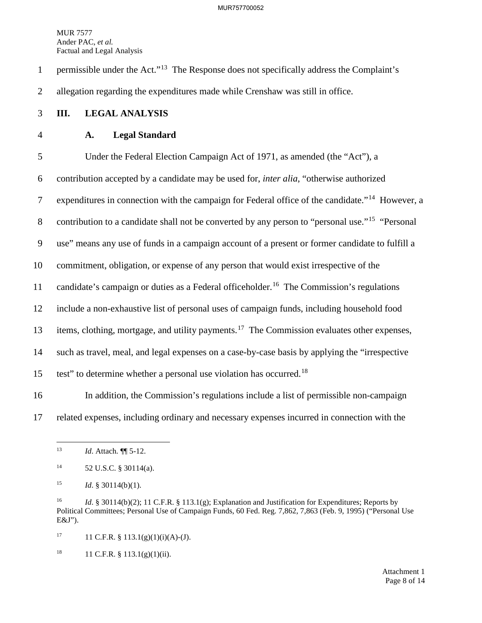1 permissible under the Act."<sup>13</sup> The Response does not specifically address the Complaint's

2 allegation regarding the expenditures made while Crenshaw was still in office.

- 3 **III. LEGAL ANALYSIS**
- 

## 4 **A. Legal Standard**

5 Under the Federal Election Campaign Act of 1971, as amended (the "Act"), a 6 contribution accepted by a candidate may be used for, *inter alia*, "otherwise authorized 7 expenditures in connection with the campaign for Federal office of the candidate."<sup>[14](#page-23-1)</sup> However, a 8 contribution to a candidate shall not be converted by any person to "personal use."<sup>15</sup> "Personal" 9 use" means any use of funds in a campaign account of a present or former candidate to fulfill a 10 commitment, obligation, or expense of any person that would exist irrespective of the 11 candidate's campaign or duties as a Federal officeholder.<sup>16</sup> The Commission's regulations 12 include a non-exhaustive list of personal uses of campaign funds, including household food 13 items, clothing, mortgage, and utility payments.<sup>[17](#page-23-4)</sup> The Commission evaluates other expenses, 14 such as travel, meal, and legal expenses on a case-by-case basis by applying the "irrespective 15 test" to determine whether a personal use violation has occurred.<sup>[18](#page-23-5)</sup>

16 In addition, the Commission's regulations include a list of permissible non-campaign 17 related expenses, including ordinary and necessary expenses incurred in connection with the

<span id="page-23-4"></span><sup>17</sup> 11 C.F.R. § 113.1(g)(1)(i)(A)-(J).

<span id="page-23-5"></span><sup>18</sup> 11 C.F.R. § 113.1(g)(1)(ii).

<span id="page-23-0"></span> $13$ 13 *Id*. Attach. ¶¶ 5-12.

<span id="page-23-1"></span><sup>14 52</sup> U.S.C. § 30114(a).

<span id="page-23-2"></span><sup>&</sup>lt;sup>15</sup> *Id.* § 30114(b)(1).

<span id="page-23-3"></span><sup>16</sup> *Id*. § 30114(b)(2); 11 C.F.R. § 113.1(g); Explanation and Justification for Expenditures; Reports by Political Committees; Personal Use of Campaign Funds, 60 Fed. Reg. 7,862, 7,863 (Feb. 9, 1995) ("Personal Use E&J").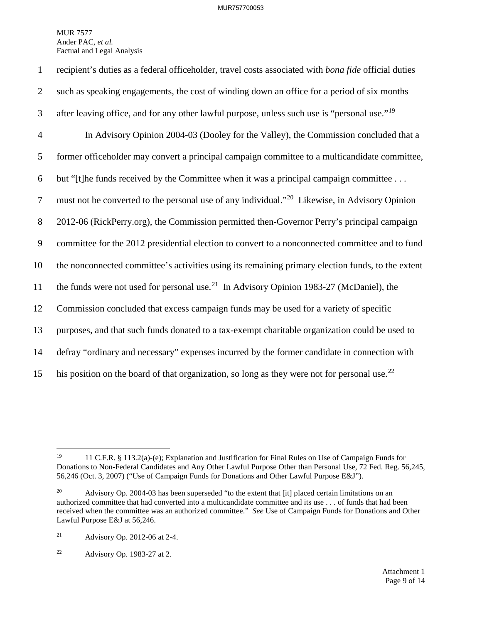| $\mathbf{1}$   | recipient's duties as a federal officeholder, travel costs associated with bona fide official duties      |
|----------------|-----------------------------------------------------------------------------------------------------------|
| 2              | such as speaking engagements, the cost of winding down an office for a period of six months               |
| 3              | after leaving office, and for any other lawful purpose, unless such use is "personal use." <sup>19</sup>  |
| $\overline{4}$ | In Advisory Opinion 2004-03 (Dooley for the Valley), the Commission concluded that a                      |
| 5              | former officeholder may convert a principal campaign committee to a multicandidate committee,             |
| 6              | but "[t]he funds received by the Committee when it was a principal campaign committee                     |
| $\tau$         | must not be converted to the personal use of any individual." <sup>20</sup> Likewise, in Advisory Opinion |
| 8              | 2012-06 (RickPerry.org), the Commission permitted then-Governor Perry's principal campaign                |
| 9              | committee for the 2012 presidential election to convert to a nonconnected committee and to fund           |
| 10             | the nonconnected committee's activities using its remaining primary election funds, to the extent         |
| 11             | the funds were not used for personal use. <sup>21</sup> In Advisory Opinion 1983-27 (McDaniel), the       |
| 12             | Commission concluded that excess campaign funds may be used for a variety of specific                     |
| 13             | purposes, and that such funds donated to a tax-exempt charitable organization could be used to            |
| 14             | defray "ordinary and necessary" expenses incurred by the former candidate in connection with              |
| 15             | his position on the board of that organization, so long as they were not for personal use. <sup>22</sup>  |

<span id="page-24-2"></span>21 Advisory Op. 2012-06 at 2-4.

<span id="page-24-3"></span>22 Advisory Op. 1983-27 at 2.

<span id="page-24-0"></span> $19\,$ 19 11 C.F.R. § 113.2(a)-(e); Explanation and Justification for Final Rules on Use of Campaign Funds for Donations to Non-Federal Candidates and Any Other Lawful Purpose Other than Personal Use, 72 Fed. Reg. 56,245, 56,246 (Oct. 3, 2007) ("Use of Campaign Funds for Donations and Other Lawful Purpose E&J").

<span id="page-24-1"></span><sup>&</sup>lt;sup>20</sup> Advisory Op. 2004-03 has been superseded "to the extent that [it] placed certain limitations on an authorized committee that had converted into a multicandidate committee and its use . . . of funds that had been received when the committee was an authorized committee." *See* Use of Campaign Funds for Donations and Other Lawful Purpose E&J at 56,246.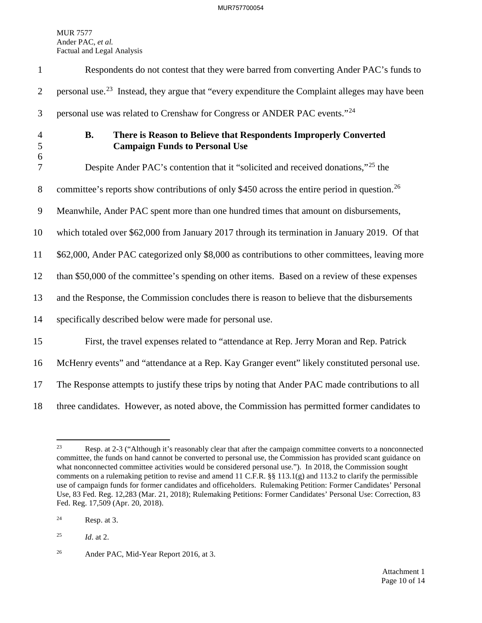| $\mathbf{1}$             | Respondents do not contest that they were barred from converting Ander PAC's funds to                                  |
|--------------------------|------------------------------------------------------------------------------------------------------------------------|
| $\overline{2}$           | personal use. <sup>23</sup> Instead, they argue that "every expenditure the Complaint alleges may have been            |
| 3                        | personal use was related to Crenshaw for Congress or ANDER PAC events." <sup>24</sup>                                  |
| $\overline{4}$<br>5<br>6 | There is Reason to Believe that Respondents Improperly Converted<br><b>B.</b><br><b>Campaign Funds to Personal Use</b> |
| 7                        | Despite Ander PAC's contention that it "solicited and received donations," <sup>25</sup> the                           |
| $8\phantom{.}$           | committee's reports show contributions of only \$450 across the entire period in question. <sup>26</sup>               |
| 9                        | Meanwhile, Ander PAC spent more than one hundred times that amount on disbursements,                                   |
| 10                       | which totaled over \$62,000 from January 2017 through its termination in January 2019. Of that                         |
| 11                       | \$62,000, Ander PAC categorized only \$8,000 as contributions to other committees, leaving more                        |
| 12                       | than \$50,000 of the committee's spending on other items. Based on a review of these expenses                          |
| 13                       | and the Response, the Commission concludes there is reason to believe that the disbursements                           |
| 14                       | specifically described below were made for personal use.                                                               |
| 15                       | First, the travel expenses related to "attendance at Rep. Jerry Moran and Rep. Patrick                                 |
| 16                       | McHenry events" and "attendance at a Rep. Kay Granger event" likely constituted personal use.                          |
| 17                       | The Response attempts to justify these trips by noting that Ander PAC made contributions to all                        |
| 18                       | three candidates. However, as noted above, the Commission has permitted former candidates to                           |

<span id="page-25-0"></span><sup>23</sup> 23 Resp. at 2-3 ("Although it's reasonably clear that after the campaign committee converts to a nonconnected committee, the funds on hand cannot be converted to personal use, the Commission has provided scant guidance on what nonconnected committee activities would be considered personal use."). In 2018, the Commission sought comments on a rulemaking petition to revise and amend 11 C.F.R. §§ 113.1(g) and 113.2 to clarify the permissible use of campaign funds for former candidates and officeholders. Rulemaking Petition: Former Candidates' Personal Use, 83 Fed. Reg. 12,283 (Mar. 21, 2018); Rulemaking Petitions: Former Candidates' Personal Use: Correction, 83 Fed. Reg. 17,509 (Apr. 20, 2018).

<span id="page-25-1"></span> $24$  Resp. at 3.

<span id="page-25-2"></span><sup>25</sup> *Id*. at 2.

<span id="page-25-3"></span><sup>&</sup>lt;sup>26</sup> Ander PAC, Mid-Year Report 2016, at 3.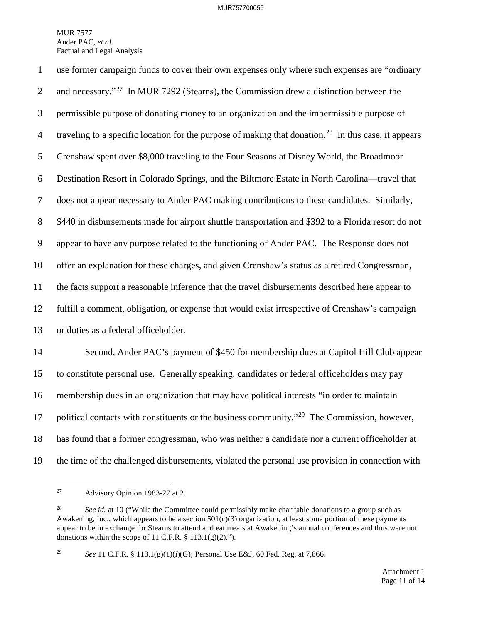| $\mathbf{1}$   | use former campaign funds to cover their own expenses only where such expenses are "ordinary                     |
|----------------|------------------------------------------------------------------------------------------------------------------|
| $\overline{2}$ | and necessary." <sup>27</sup> In MUR 7292 (Stearns), the Commission drew a distinction between the               |
| 3              | permissible purpose of donating money to an organization and the impermissible purpose of                        |
| $\overline{4}$ | traveling to a specific location for the purpose of making that donation. <sup>28</sup> In this case, it appears |
| 5              | Crenshaw spent over \$8,000 traveling to the Four Seasons at Disney World, the Broadmoor                         |
| 6              | Destination Resort in Colorado Springs, and the Biltmore Estate in North Carolina—travel that                    |
| $\tau$         | does not appear necessary to Ander PAC making contributions to these candidates. Similarly,                      |
| 8              | \$440 in disbursements made for airport shuttle transportation and \$392 to a Florida resort do not              |
| 9              | appear to have any purpose related to the functioning of Ander PAC. The Response does not                        |
| 10             | offer an explanation for these charges, and given Crenshaw's status as a retired Congressman,                    |
| 11             | the facts support a reasonable inference that the travel disbursements described here appear to                  |
| 12             | fulfill a comment, obligation, or expense that would exist irrespective of Crenshaw's campaign                   |
| 13             | or duties as a federal officeholder.                                                                             |
| 14             | Second, Ander PAC's payment of \$450 for membership dues at Capitol Hill Club appear                             |
| 15             | to constitute personal use. Generally speaking, candidates or federal officeholders may pay                      |
| 16             | membership dues in an organization that may have political interests "in order to maintain                       |
| 17             | political contacts with constituents or the business community." <sup>29</sup> The Commission, however,          |
| 18             | has found that a former congressman, who was neither a candidate nor a current officeholder at                   |
| 19             | the time of the challenged disbursements, violated the personal use provision in connection with                 |

<span id="page-26-0"></span> $27\,$ 27 Advisory Opinion 1983-27 at 2.

<span id="page-26-1"></span><sup>28</sup> *See id.* at 10 ("While the Committee could permissibly make charitable donations to a group such as Awakening, Inc., which appears to be a section 501(c)(3) organization, at least some portion of these payments appear to be in exchange for Stearns to attend and eat meals at Awakening's annual conferences and thus were not donations within the scope of 11 C.F.R.  $\S$  113.1(g)(2).").

<span id="page-26-2"></span><sup>29</sup> *See* 11 C.F.R. § 113.1(g)(1)(i)(G); Personal Use E&J, 60 Fed. Reg. at 7,866.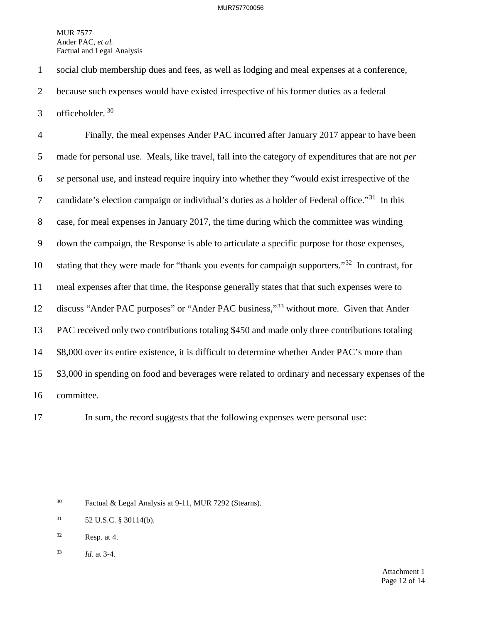1 social club membership dues and fees, as well as lodging and meal expenses at a conference,

2 because such expenses would have existed irrespective of his former duties as a federal

 $3$  officeholder.  $30$ 

4 Finally, the meal expenses Ander PAC incurred after January 2017 appear to have been 5 made for personal use. Meals, like travel, fall into the category of expenditures that are not *per*  6 *se* personal use, and instead require inquiry into whether they "would exist irrespective of the 7 candidate's election campaign or individual's duties as a holder of Federal office."<sup>[31](#page-27-1)</sup> In this 8 case, for meal expenses in January 2017, the time during which the committee was winding 9 down the campaign, the Response is able to articulate a specific purpose for those expenses, 10 stating that they were made for "thank you events for campaign supporters."<sup>[32](#page-27-2)</sup> In contrast, for 11 meal expenses after that time, the Response generally states that that such expenses were to 12 discuss "Ander PAC purposes" or "Ander PAC business,"<sup>[33](#page-27-3)</sup> without more. Given that Ander 13 PAC received only two contributions totaling \$450 and made only three contributions totaling 14 \$8,000 over its entire existence, it is difficult to determine whether Ander PAC's more than 15 \$3,000 in spending on food and beverages were related to ordinary and necessary expenses of the 16 committee.



17 In sum, the record suggests that the following expenses were personal use:

<span id="page-27-0"></span> $30<sup>°</sup>$ Factual & Legal Analysis at 9-11, MUR 7292 (Stearns).

<span id="page-27-1"></span> $31$  52 U.S.C. § 30114(b).

<span id="page-27-2"></span> $32$  Resp. at 4.

<span id="page-27-3"></span><sup>33</sup> *Id*. at 3-4.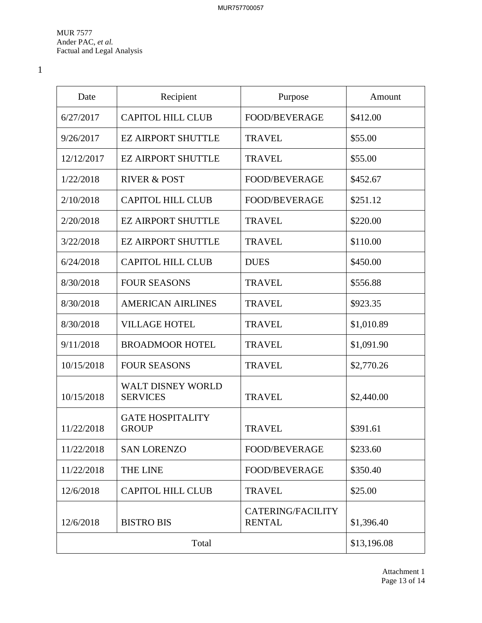1

| Date       | Recipient                                   | Purpose                                   | Amount      |
|------------|---------------------------------------------|-------------------------------------------|-------------|
| 6/27/2017  | <b>CAPITOL HILL CLUB</b>                    | <b>FOOD/BEVERAGE</b>                      | \$412.00    |
| 9/26/2017  | <b>EZ AIRPORT SHUTTLE</b>                   | <b>TRAVEL</b>                             | \$55.00     |
| 12/12/2017 | <b>EZ AIRPORT SHUTTLE</b>                   | <b>TRAVEL</b>                             | \$55.00     |
| 1/22/2018  | <b>RIVER &amp; POST</b>                     | <b>FOOD/BEVERAGE</b>                      | \$452.67    |
| 2/10/2018  | <b>CAPITOL HILL CLUB</b>                    | <b>FOOD/BEVERAGE</b>                      | \$251.12    |
| 2/20/2018  | <b>EZ AIRPORT SHUTTLE</b>                   | <b>TRAVEL</b>                             | \$220.00    |
| 3/22/2018  | <b>EZ AIRPORT SHUTTLE</b>                   | <b>TRAVEL</b>                             | \$110.00    |
| 6/24/2018  | <b>CAPITOL HILL CLUB</b>                    | <b>DUES</b>                               | \$450.00    |
| 8/30/2018  | <b>FOUR SEASONS</b>                         | <b>TRAVEL</b>                             | \$556.88    |
| 8/30/2018  | <b>AMERICAN AIRLINES</b>                    | <b>TRAVEL</b>                             | \$923.35    |
| 8/30/2018  | <b>VILLAGE HOTEL</b>                        | <b>TRAVEL</b>                             | \$1,010.89  |
| 9/11/2018  | <b>BROADMOOR HOTEL</b>                      | <b>TRAVEL</b>                             | \$1,091.90  |
| 10/15/2018 | <b>FOUR SEASONS</b>                         | <b>TRAVEL</b>                             | \$2,770.26  |
| 10/15/2018 | <b>WALT DISNEY WORLD</b><br><b>SERVICES</b> | <b>TRAVEL</b>                             | \$2,440.00  |
| 11/22/2018 | <b>GATE HOSPITALITY</b><br><b>GROUP</b>     | <b>TRAVEL</b>                             | \$391.61    |
| 11/22/2018 | <b>SAN LORENZO</b>                          | <b>FOOD/BEVERAGE</b>                      | \$233.60    |
| 11/22/2018 | THE LINE                                    | <b>FOOD/BEVERAGE</b>                      | \$350.40    |
| 12/6/2018  | <b>CAPITOL HILL CLUB</b>                    | <b>TRAVEL</b>                             | \$25.00     |
| 12/6/2018  | <b>BISTRO BIS</b>                           | <b>CATERING/FACILITY</b><br><b>RENTAL</b> | \$1,396.40  |
| Total      |                                             |                                           | \$13,196.08 |